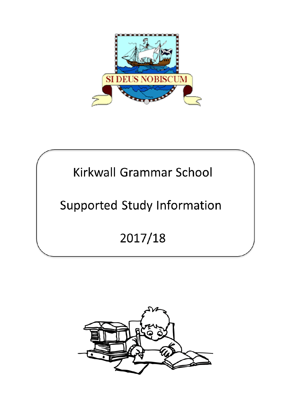

# Kirkwall Grammar School

# **Supported Study Information**

2017/18

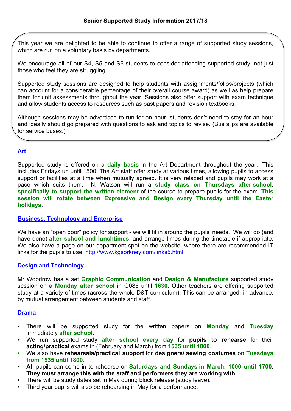This year we are delighted to be able to continue to offer a range of supported study sessions, which are run on a voluntary basis by departments.

We encourage all of our S4, S5 and S6 students to consider attending supported study, not just those who feel they are struggling.

Supported study sessions are designed to help students with assignments/folios/projects (which can account for a considerable percentage of their overall course award) as well as help prepare them for unit assessments throughout the year. Sessions also offer support with exam technique and allow students access to resources such as past papers and revision textbooks.

Although sessions may be advertised to run for an hour, students don't need to stay for an hour and ideally should go prepared with questions to ask and topics to revise. (Bus slips are available for service buses.)

# **Art**

Supported study is offered on a **daily basis** in the Art Department throughout the year. This includes Fridays up until 1500. The Art staff offer study at various times, allowing pupils to access support or facilities at a time when mutually agreed. It is very relaxed and pupils may work at a pace which suits them. N. Watson will run a **study class on Thursdays after school**, **specifically to support the written element** of the course to prepare pupils for the exam. **This session will rotate between Expressive and Design every Thursday until the Easter holidays.** 

#### **Business, Technology and Enterprise**

We have an "open door" policy for support - we will fit in around the pupils' needs. We will do (and have done) **after school and lunchtimes**, and arrange times during the timetable if appropriate. We also have a page on our department spot on the website, where there are recommended IT links for the pupils to use: http://www.kgsorkney.com/links5.html

#### **Design and Technology**

Mr Woodrow has a set **Graphic Communication** and **Design & Manufacture** supported study session on a **Monday after school** in G085 until **1630**. Other teachers are offering supported study at a variety of times (across the whole D&T curriculum). This can be arranged, in advance, by mutual arrangement between students and staff.

#### **Drama**

- There will be supported study for the written papers on **Monday** and **Tuesday** immediately **after school**.
- We run supported study **after school every day** for **pupils to rehearse** for their **acting/practical** exams in (February and March) from **1535 until 1800**.
- We also have **rehearsals/practical support** for **designers/ sewing costumes** on **Tuesdays from 1535 until 1800.**
- **All** pupils can come in to rehearse on **Saturdays and Sundays in March, 1000 until 1700**. **They must arrange this with the staff and performers they are working with.**
- There will be study dates set in May during block release (study leave).
- Third year pupils will also be rehearsing in May for a performance.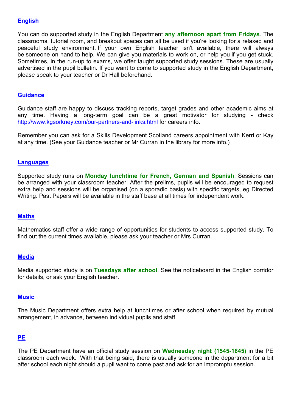## **English**

You can do supported study in the English Department **any afternoon apart from Fridays**. The classrooms, tutorial room, and breakout spaces can all be used if you're looking for a relaxed and peaceful study environment. If your own English teacher isn't available, there will always be someone on hand to help. We can give you materials to work on, or help you if you get stuck. Sometimes, in the run-up to exams, we offer taught supported study sessions. These are usually advertised in the pupil bulletin. If you want to come to supported study in the English Department, please speak to your teacher or Dr Hall beforehand.

#### **Guidance**

Guidance staff are happy to discuss tracking reports, target grades and other academic aims at any time. Having a long-term goal can be a great motivator for studying - check http://www.kgsorkney.com/our-partners-and-links.html for careers info.

Remember you can ask for a Skills Development Scotland careers appointment with Kerri or Kay at any time. (See your Guidance teacher or Mr Curran in the library for more info.)

#### **Languages**

Supported study runs on **Monday lunchtime for French, German and Spanish**. Sessions can be arranged with your classroom teacher. After the prelims, pupils will be encouraged to request extra help and sessions will be organised (on a sporadic basis) with specific targets, eg Directed Writing. Past Papers will be available in the staff base at all times for independent work.

#### **Maths**

Mathematics staff offer a wide range of opportunities for students to access supported study. To find out the current times available, please ask your teacher or Mrs Curran.

#### **Media**

Media supported study is on **Tuesdays after school**. See the noticeboard in the English corridor for details, or ask your English teacher.

#### **Music**

The Music Department offers extra help at lunchtimes or after school when required by mutual arrangement, in advance, between individual pupils and staff.

#### **PE**

The PE Department have an official study session on **Wednesday night (1545-1645)** in the PE classroom each week. With that being said, there is usually someone in the department for a bit after school each night should a pupil want to come past and ask for an impromptu session.